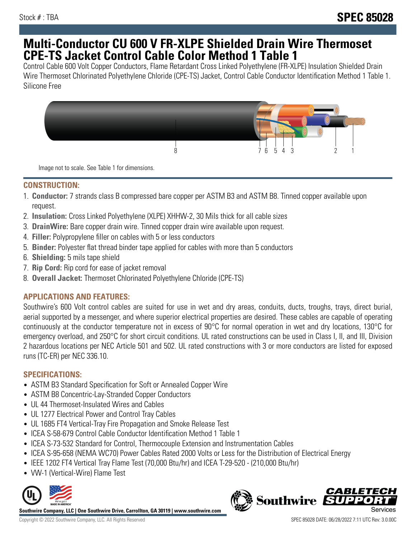## **Multi-Conductor CU 600 V FR-XLPE Shielded Drain Wire Thermoset CPE-TS Jacket Control Cable Color Method 1 Table 1**

Control Cable 600 Volt Copper Conductors, Flame Retardant Cross Linked Polyethylene (FR-XLPE) Insulation Shielded Drain Wire Thermoset Chlorinated Polyethylene Chloride (CPE-TS) Jacket, Control Cable Conductor Identification Method 1 Table 1. Silicone Free



Image not to scale. See Table 1 for dimensions.

#### **CONSTRUCTION:**

- 1. **Conductor:** 7 strands class B compressed bare copper per ASTM B3 and ASTM B8. Tinned copper available upon request.
- 2. **Insulation:** Cross Linked Polyethylene (XLPE) XHHW-2, 30 Mils thick for all cable sizes
- 3. **DrainWire:** Bare copper drain wire. Tinned copper drain wire available upon request.
- 4. **Filler:** Polypropylene filler on cables with 5 or less conductors
- 5. **Binder:** Polyester flat thread binder tape applied for cables with more than 5 conductors
- 6. **Shielding:** 5 mils tape shield
- 7. **Rip Cord:** Rip cord for ease of jacket removal
- 8. **Overall Jacket:** Thermoset Chlorinated Polyethylene Chloride (CPE-TS)

## **APPLICATIONS AND FEATURES:**

Southwire's 600 Volt control cables are suited for use in wet and dry areas, conduits, ducts, troughs, trays, direct burial, aerial supported by a messenger, and where superior electrical properties are desired. These cables are capable of operating continuously at the conductor temperature not in excess of 90°C for normal operation in wet and dry locations, 130°C for emergency overload, and 250°C for short circuit conditions. UL rated constructions can be used in Class I, II, and III, Division 2 hazardous locations per NEC Article 501 and 502. UL rated constructions with 3 or more conductors are listed for exposed runs (TC-ER) per NEC 336.10.

## **SPECIFICATIONS:**

- ASTM B3 Standard Specification for Soft or Annealed Copper Wire
- ASTM B8 Concentric-Lay-Stranded Copper Conductors
- UL 44 Thermoset-Insulated Wires and Cables
- UL 1277 Electrical Power and Control Tray Cables
- UL 1685 FT4 Vertical-Tray Fire Propagation and Smoke Release Test
- ICEA S-58-679 Control Cable Conductor Identification Method 1 Table 1
- ICEA S-73-532 Standard for Control, Thermocouple Extension and Instrumentation Cables
- ICEA S-95-658 (NEMA WC70) Power Cables Rated 2000 Volts or Less for the Distribution of Electrical Energy
- IEEE 1202 FT4 Vertical Tray Flame Test (70,000 Btu/hr) and ICEA T-29-520 (210,000 Btu/hr)
- VW-1 (Vertical-Wire) Flame Test



**Southwire Company, LLC | One Southwire Drive, Carrollton, GA 30119 | www.southwire.com**

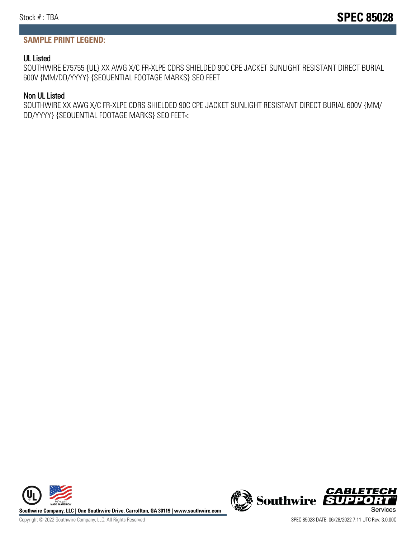### **SAMPLE PRINT LEGEND:**

#### UL Listed

SOUTHWIRE E75755 {UL} XX AWG X/C FR-XLPE CDRS SHIELDED 90C CPE JACKET SUNLIGHT RESISTANT DIRECT BURIAL 600V {MM/DD/YYYY} {SEQUENTIAL FOOTAGE MARKS} SEQ FEET

#### Non UL Listed

SOUTHWIRE XX AWG X/C FR-XLPE CDRS SHIELDED 90C CPE JACKET SUNLIGHT RESISTANT DIRECT BURIAL 600V {MM/ DD/YYYY} {SEQUENTIAL FOOTAGE MARKS} SEQ FEET<